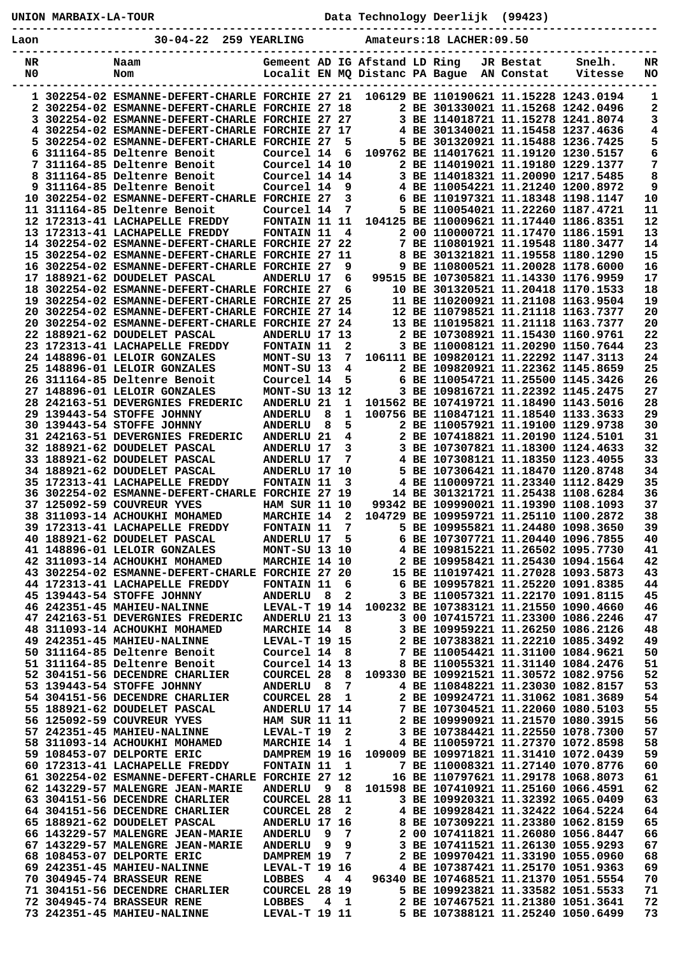**----------------------------------------------------------------------------------------------- Laon 30-04-22 259 YEARLING Amateurs:18 LACHER:09.50 ----------------------------------------------------------------------------------------------- NR Naam Gemeent AD IG Afstand LD Ring JR Bestat Snelh. NR** NO Nom Nom Localit EN MQ Distanc PA Bague AN Constat **----------------------------------------------------------------------------------------------- 1 302254-02 ESMANNE-DEFERT-CHARLE FORCHIE 27 21 106129 BE 110190621 11.15228 1243.0194 1 2 302254-02 ESMANNE-DEFERT-CHARLE FORCHIE 27 18 2 BE 301330021 11.15268 1242.0496 2 3 302254-02 ESMANNE-DEFERT-CHARLE FORCHIE 27 27 3 BE 114018721 11.15278 1241.8074 3 4 302254-02 ESMANNE-DEFERT-CHARLE FORCHIE 27 17 4 BE 301340021 11.15458 1237.4636 4 5 302254-02 ESMANNE-DEFERT-CHARLE FORCHIE 27 5 5 BE 301320921 11.15488 1236.7425 5 6 311164-85 Deltenre Benoit Courcel 14 6 109762 BE 114017621 11.19120 1230.5157 6 7 311164-85 Deltenre Benoit Courcel 14 10 2 BE 114019021 11.19180 1229.1377 7 8 311164-85 Deltenre Benoit Courcel 14 14 3 BE 114018321 11.20090 1217.5485 8 9 311164-85 Deltenre Benoit Courcel 14 9 4 BE 110054221 11.21240 1200.8972 9 10 302254-02 ESMANNE-DEFERT-CHARLE FORCHIE 27 3 6 BE 110197321 11.18348 1198.1147 10 11 311164-85 Deltenre Benoit Courcel 14 7 5 BE 110054021 11.22260 1187.4721 11 12 172313-41 LACHAPELLE FREDDY FONTAIN 11 11 104125 BE 110009621 11.17440 1186.8351 12 13 172313-41 LACHAPELLE FREDDY FONTAIN 11 4 2 00 110000721 11.17470 1186.1591 13 14 302254-02 ESMANNE-DEFERT-CHARLE FORCHIE 27 22 7 BE 110801921 11.19548 1180.3477 14 15 302254-02 ESMANNE-DEFERT-CHARLE FORCHIE 27 11 8 BE 301321821 11.19558 1180.1290 15 16 302254-02 ESMANNE-DEFERT-CHARLE FORCHIE 27 9 9 BE 110800521 11.20028 1178.6000 16 17 188921-62 DOUDELET PASCAL ANDERLU 17 6 99515 BE 107305821 11.14330 1176.9959 17 18 302254-02 ESMANNE-DEFERT-CHARLE FORCHIE 27 6 10 BE 301320521 11.20418 1170.1533 18 19 302254-02 ESMANNE-DEFERT-CHARLE FORCHIE 27 25 11 BE 110200921 11.21108 1163.9504 19 20 302254-02 ESMANNE-DEFERT-CHARLE FORCHIE 27 14 12 BE 110798521 11.21118 1163.7377 20 20 302254-02 ESMANNE-DEFERT-CHARLE FORCHIE 27 24 13 BE 110195821 11.21118 1163.7377 20 22 188921-62 DOUDELET PASCAL ANDERLU 17 13 2 BE 107308921 11.15430 1160.9761 22 23 172313-41 LACHAPELLE FREDDY FONTAIN 11 2 3 BE 110008121 11.20290 1150.7644 23 24 148896-01 LELOIR GONZALES MONT-SU 13 7 106111 BE 109820121 11.22292 1147.3113 24 25 148896-01 LELOIR GONZALES MONT-SU 13 4 2 BE 109820921 11.22362 1145.8659 25 26 311164-85 Deltenre Benoit Courcel 14 5 6 BE 110054721 11.25500 1145.3426 26**  27 148896-01 LELOIR GONZALES MONT-SU 13 4<br>27 148896-01 LELOIR GONZALES MONT-SU 13 12 3 BE 109816721 11.22392 1145.2475 27  **28 242163-51 DEVERGNIES FREDERIC ANDERLU 21 1 101562 BE 107419721 11.18490 1143.5016 28 29 139443-54 STOFFE JOHNNY ANDERLU 8 1 100756 BE 110847121 11.18540 1133.3633 29 30 139443-54 STOFFE JOHNNY ANDERLU 8 5 2 BE 110057921 11.19100 1129.9738 30 31 242163-51 DEVERGNIES FREDERIC ANDERLU 21 4 2 BE 107418821 11.20190 1124.5101 31 32 188921-62 DOUDELET PASCAL ANDERLU 17 3 3 BE 107307821 11.18300 1124.4633 32 33 188921-62 DOUDELET PASCAL ANDERLU 17 7 4 BE 107308121 11.18350 1123.4055 33 34 188921-62 DOUDELET PASCAL ANDERLU 17 10 5 BE 107306421 11.18470 1120.8748 34 35 172313-41 LACHAPELLE FREDDY FONTAIN 11 3 4 BE 110009721 11.23340 1112.8429 35 36 302254-02 ESMANNE-DEFERT-CHARLE FORCHIE 27 19 14 BE 301321721 11.25438 1108.6284 36 37 125092-59 COUVREUR YVES HAM SUR 11 10 99342 BE 109990021 11.19390 1108.1093 37 38 311093-14 ACHOUKHI MOHAMED MARCHIE 14 2 104729 BE 109959721 11.25110 1100.2872 38 39 172313-41 LACHAPELLE FREDDY FONTAIN 11 7 5 BE 109955821 11.24480 1098.3650 39 40 188921-62 DOUDELET PASCAL ANDERLU 17 5 6 BE 107307721 11.20440 1096.7855 40 41 148896-01 LELOIR GONZALES MONT-SU 13 10 4 BE 109815221 11.26502 1095.7730 41 42 311093-14 ACHOUKHI MOHAMED MARCHIE 14 10 2 BE 109958421 11.25430 1094.1564 42 43 302254-02 ESMANNE-DEFERT-CHARLE FORCHIE 27 20 15 BE 110197421 11.27028 1093.5873 43 44 172313-41 LACHAPELLE FREDDY FONTAIN 11 6 6 BE 109957821 11.25220 1091.8385 44 45 139443-54 STOFFE JOHNNY ANDERLU 8 2 3 BE 110057321 11.22170 1091.8115 45 46 242351-45 MAHIEU-NALINNE LEVAL-T 19 14 100232 BE 107383121 11.21550 1090.4660 46 47 242163-51 DEVERGNIES FREDERIC ANDERLU 21 13 3 00 107415721 11.23300 1086.2246 47 48 311093-14 ACHOUKHI MOHAMED MARCHIE 14 8 3 BE 109959221 11.26250 1086.2126 48 49 242351-45 MAHIEU-NALINNE LEVAL-T 19 15 2 BE 107383821 11.22210 1085.3492 49 50 311164-85 Deltenre Benoit Courcel 14 8 7 BE 110054421 11.31100 1084.9621 50 51 311164-85 Deltenre Benoit Courcel 14 13 8 BE 110055321 11.31140 1084.2476 51 52 304151-56 DECENDRE CHARLIER COURCEL 28 8 109330 BE 109921521 11.30572 1082.9756 52 53 139443-54 STOFFE JOHNNY ANDERLU 8 7 4 BE 110848221 11.23030 1082.8157 53 54 304151-56 DECENDRE CHARLIER COURCEL 28 1 2 BE 109924721 11.31062 1081.3689 54 55 188921-62 DOUDELET PASCAL ANDERLU 17 14 7 BE 107304521 11.22060 1080.5103 55 56 125092-59 COUVREUR YVES HAM SUR 11 11 2 BE 109990921 11.21570 1080.3915 56 57 242351-45 MAHIEU-NALINNE LEVAL-T 19 2 3 BE 107384421 11.22550 1078.7300 57 58 311093-14 ACHOUKHI MOHAMED MARCHIE 14 1 4 BE 110059721 11.27370 1072.8598 58 59 108453-07 DELPORTE ERIC DAMPREM 19 16 109009 BE 109971821 11.31410 1072.0439 59**  7 BE 110008321 11.27140 1070.8776 60<br>16 BE 110797621 11.29178 1068.8073 61  **61 302254-02 ESMANNE-DEFERT-CHARLE FORCHIE 27 12 16 BE 110797621 11.29178 1068.8073 61 62 143229-57 MALENGRE JEAN-MARIE ANDERLU 9 8 101598 BE 107410921 11.25160 1066.4591**<br> **63 304151-56 DECENDRE CHARLIER COURCEL 28 11 3 BE 109920321 11.32392 1065.0409 63 304151-56 DECENDRE CHARLIER COURCEL 28 11 3 BE 109920321 11.32392 1065.0409 63 64 304151-56 DECENDRE CHARLIER COURCEL 28 2 4 BE 109928421 11.32422 1064.5224 64 65 188921-62 DOUDELET PASCAL ANDERLU 17 16 8 BE 107309221 11.23380 1062.8159 65 66 143229-57 MALENGRE JEAN-MARIE ANDERLU 9 7 2 00 107411821 11.26080 1056.8447 66 67 143229-57 MALENGRE JEAN-MARIE ANDERLU 9 9 3 BE 107411521 11.26130 1055.9293 67 68 108453-07 DELPORTE ERIC DAMPREM 19 7 2 BE 109970421 11.33190 1055.0960 68 69 242351-45 MAHIEU-NALINNE LEVAL-T 19 16 4 BE 107387421 11.25170 1051.9363 69 70 304945-74 BRASSEUR RENE LOBBES 4 4 96340 BE 107468521 11.21370 1051.5554 70 71 304151-56 DECENDRE CHARLIER COURCEL 28 19 5 BE 109923821 11.33582 1051.5533 71 72 304945-74 BRASSEUR RENE LOBBES 4 1 2 BE 107467521 11.21380 1051.3641 72 73 242351-45 MAHIEU-NALINNE LEVAL-T 19 11 5 BE 107388121 11.25240 1050.6499 73** 

**UNION MARBAIX-LA-TOUR Data Technology Deerlijk (99423)**